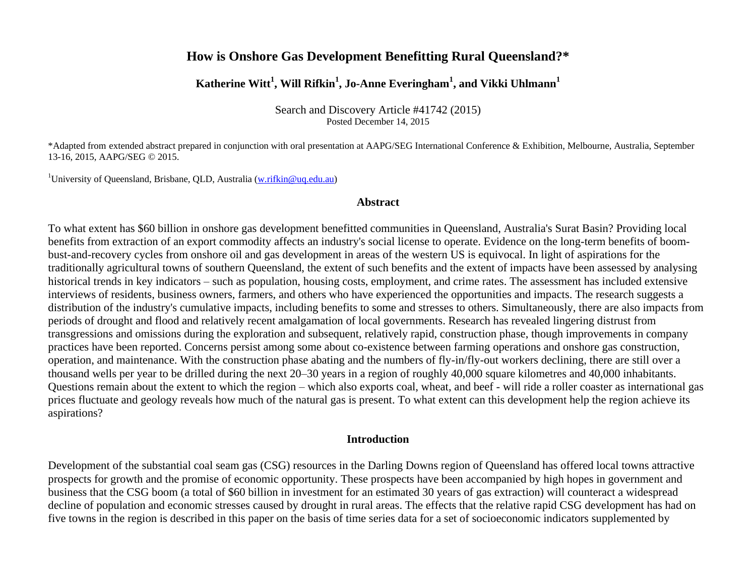# **How is Onshore Gas Development Benefitting Rural Queensland?\***

# **Katherine Witt<sup>1</sup> , Will Rifkin<sup>1</sup> , Jo-Anne Everingham<sup>1</sup> , and Vikki Uhlmann<sup>1</sup>**

Search and Discovery Article #41742 (2015) Posted December 14, 2015

\*Adapted from extended abstract prepared in conjunction with oral presentation at AAPG/SEG International Conference & Exhibition, Melbourne, Australia, September 13-16, 2015, AAPG/SEG © 2015.

<sup>1</sup>University of Queensland, Brisbane, QLD, Australia [\(w.rifkin@uq.edu.au\)](mailto:w.rifkin@uq.edu.au)

### **Abstract**

To what extent has \$60 billion in onshore gas development benefitted communities in Queensland, Australia's Surat Basin? Providing local benefits from extraction of an export commodity affects an industry's social license to operate. Evidence on the long-term benefits of boombust-and-recovery cycles from onshore oil and gas development in areas of the western US is equivocal. In light of aspirations for the traditionally agricultural towns of southern Queensland, the extent of such benefits and the extent of impacts have been assessed by analysing historical trends in key indicators – such as population, housing costs, employment, and crime rates. The assessment has included extensive interviews of residents, business owners, farmers, and others who have experienced the opportunities and impacts. The research suggests a distribution of the industry's cumulative impacts, including benefits to some and stresses to others. Simultaneously, there are also impacts from periods of drought and flood and relatively recent amalgamation of local governments. Research has revealed lingering distrust from transgressions and omissions during the exploration and subsequent, relatively rapid, construction phase, though improvements in company practices have been reported. Concerns persist among some about co-existence between farming operations and onshore gas construction, operation, and maintenance. With the construction phase abating and the numbers of fly-in/fly-out workers declining, there are still over a thousand wells per year to be drilled during the next 20–30 years in a region of roughly 40,000 square kilometres and 40,000 inhabitants. Questions remain about the extent to which the region – which also exports coal, wheat, and beef - will ride a roller coaster as international gas prices fluctuate and geology reveals how much of the natural gas is present. To what extent can this development help the region achieve its aspirations?

### **Introduction**

Development of the substantial coal seam gas (CSG) resources in the Darling Downs region of Queensland has offered local towns attractive prospects for growth and the promise of economic opportunity. These prospects have been accompanied by high hopes in government and business that the CSG boom (a total of \$60 billion in investment for an estimated 30 years of gas extraction) will counteract a widespread decline of population and economic stresses caused by drought in rural areas. The effects that the relative rapid CSG development has had on five towns in the region is described in this paper on the basis of time series data for a set of socioeconomic indicators supplemented by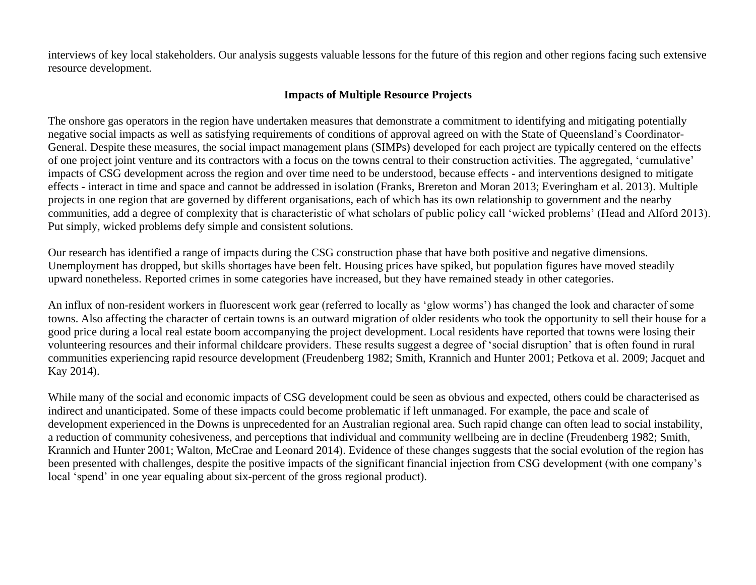interviews of key local stakeholders. Our analysis suggests valuable lessons for the future of this region and other regions facing such extensive resource development.

# **Impacts of Multiple Resource Projects**

The onshore gas operators in the region have undertaken measures that demonstrate a commitment to identifying and mitigating potentially negative social impacts as well as satisfying requirements of conditions of approval agreed on with the State of Queensland's Coordinator-General. Despite these measures, the social impact management plans (SIMPs) developed for each project are typically centered on the effects of one project joint venture and its contractors with a focus on the towns central to their construction activities. The aggregated, 'cumulative' impacts of CSG development across the region and over time need to be understood, because effects - and interventions designed to mitigate effects - interact in time and space and cannot be addressed in isolation (Franks, Brereton and Moran 2013; Everingham et al. 2013). Multiple projects in one region that are governed by different organisations, each of which has its own relationship to government and the nearby communities, add a degree of complexity that is characteristic of what scholars of public policy call 'wicked problems' (Head and Alford 2013). Put simply, wicked problems defy simple and consistent solutions.

Our research has identified a range of impacts during the CSG construction phase that have both positive and negative dimensions. Unemployment has dropped, but skills shortages have been felt. Housing prices have spiked, but population figures have moved steadily upward nonetheless. Reported crimes in some categories have increased, but they have remained steady in other categories.

An influx of non-resident workers in fluorescent work gear (referred to locally as 'glow worms') has changed the look and character of some towns. Also affecting the character of certain towns is an outward migration of older residents who took the opportunity to sell their house for a good price during a local real estate boom accompanying the project development. Local residents have reported that towns were losing their volunteering resources and their informal childcare providers. These results suggest a degree of 'social disruption' that is often found in rural communities experiencing rapid resource development (Freudenberg 1982; Smith, Krannich and Hunter 2001; Petkova et al. 2009; Jacquet and Kay 2014).

While many of the social and economic impacts of CSG development could be seen as obvious and expected, others could be characterised as indirect and unanticipated. Some of these impacts could become problematic if left unmanaged. For example, the pace and scale of development experienced in the Downs is unprecedented for an Australian regional area. Such rapid change can often lead to social instability, a reduction of community cohesiveness, and perceptions that individual and community wellbeing are in decline (Freudenberg 1982; Smith, Krannich and Hunter 2001; Walton, McCrae and Leonard 2014). Evidence of these changes suggests that the social evolution of the region has been presented with challenges, despite the positive impacts of the significant financial injection from CSG development (with one company's local 'spend' in one year equaling about six-percent of the gross regional product).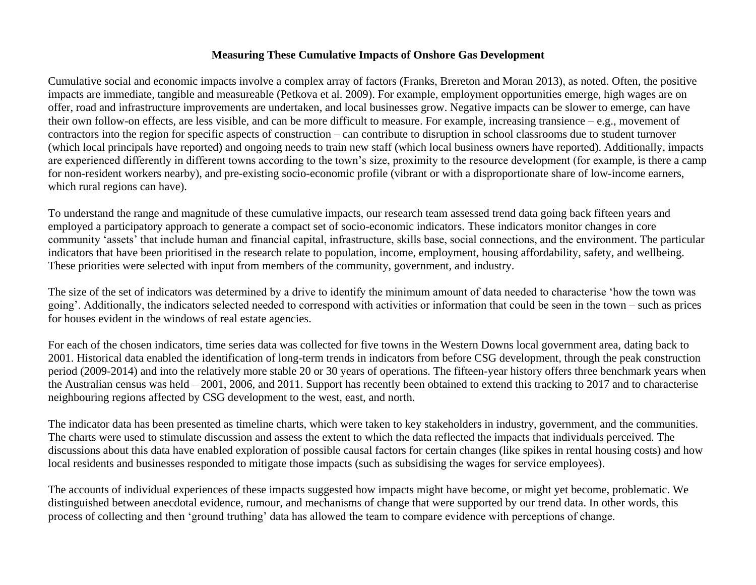### **Measuring These Cumulative Impacts of Onshore Gas Development**

Cumulative social and economic impacts involve a complex array of factors (Franks, Brereton and Moran 2013), as noted. Often, the positive impacts are immediate, tangible and measureable (Petkova et al. 2009). For example, employment opportunities emerge, high wages are on offer, road and infrastructure improvements are undertaken, and local businesses grow. Negative impacts can be slower to emerge, can have their own follow-on effects, are less visible, and can be more difficult to measure. For example, increasing transience – e.g., movement of contractors into the region for specific aspects of construction – can contribute to disruption in school classrooms due to student turnover (which local principals have reported) and ongoing needs to train new staff (which local business owners have reported). Additionally, impacts are experienced differently in different towns according to the town's size, proximity to the resource development (for example, is there a camp for non-resident workers nearby), and pre-existing socio-economic profile (vibrant or with a disproportionate share of low-income earners, which rural regions can have).

To understand the range and magnitude of these cumulative impacts, our research team assessed trend data going back fifteen years and employed a participatory approach to generate a compact set of socio-economic indicators. These indicators monitor changes in core community 'assets' that include human and financial capital, infrastructure, skills base, social connections, and the environment. The particular indicators that have been prioritised in the research relate to population, income, employment, housing affordability, safety, and wellbeing. These priorities were selected with input from members of the community, government, and industry.

The size of the set of indicators was determined by a drive to identify the minimum amount of data needed to characterise 'how the town was going'. Additionally, the indicators selected needed to correspond with activities or information that could be seen in the town – such as prices for houses evident in the windows of real estate agencies.

For each of the chosen indicators, time series data was collected for five towns in the Western Downs local government area, dating back to 2001. Historical data enabled the identification of long-term trends in indicators from before CSG development, through the peak construction period (2009-2014) and into the relatively more stable 20 or 30 years of operations. The fifteen-year history offers three benchmark years when the Australian census was held – 2001, 2006, and 2011. Support has recently been obtained to extend this tracking to 2017 and to characterise neighbouring regions affected by CSG development to the west, east, and north.

The indicator data has been presented as timeline charts, which were taken to key stakeholders in industry, government, and the communities. The charts were used to stimulate discussion and assess the extent to which the data reflected the impacts that individuals perceived. The discussions about this data have enabled exploration of possible causal factors for certain changes (like spikes in rental housing costs) and how local residents and businesses responded to mitigate those impacts (such as subsidising the wages for service employees).

The accounts of individual experiences of these impacts suggested how impacts might have become, or might yet become, problematic. We distinguished between anecdotal evidence, rumour, and mechanisms of change that were supported by our trend data. In other words, this process of collecting and then 'ground truthing' data has allowed the team to compare evidence with perceptions of change.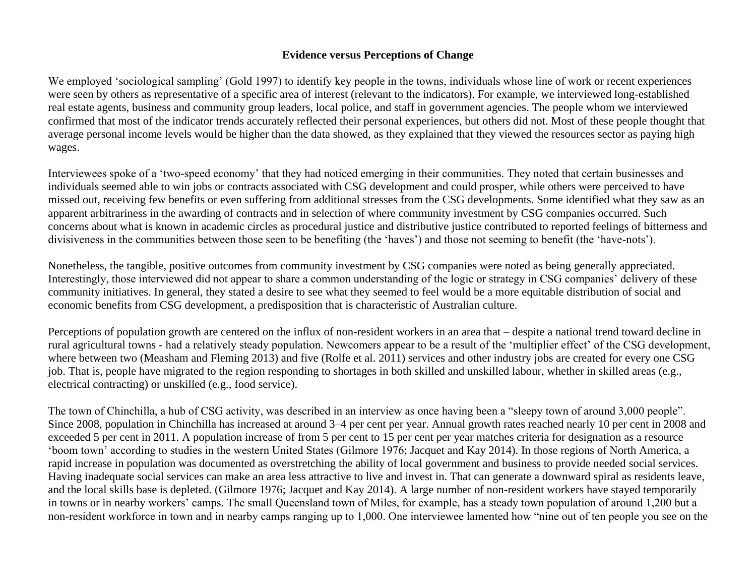### **Evidence versus Perceptions of Change**

We employed 'sociological sampling' (Gold 1997) to identify key people in the towns, individuals whose line of work or recent experiences were seen by others as representative of a specific area of interest (relevant to the indicators). For example, we interviewed long-established real estate agents, business and community group leaders, local police, and staff in government agencies. The people whom we interviewed confirmed that most of the indicator trends accurately reflected their personal experiences, but others did not. Most of these people thought that average personal income levels would be higher than the data showed, as they explained that they viewed the resources sector as paying high wages.

Interviewees spoke of a 'two-speed economy' that they had noticed emerging in their communities. They noted that certain businesses and individuals seemed able to win jobs or contracts associated with CSG development and could prosper, while others were perceived to have missed out, receiving few benefits or even suffering from additional stresses from the CSG developments. Some identified what they saw as an apparent arbitrariness in the awarding of contracts and in selection of where community investment by CSG companies occurred. Such concerns about what is known in academic circles as procedural justice and distributive justice contributed to reported feelings of bitterness and divisiveness in the communities between those seen to be benefiting (the 'haves') and those not seeming to benefit (the 'have-nots').

Nonetheless, the tangible, positive outcomes from community investment by CSG companies were noted as being generally appreciated. Interestingly, those interviewed did not appear to share a common understanding of the logic or strategy in CSG companies' delivery of these community initiatives. In general, they stated a desire to see what they seemed to feel would be a more equitable distribution of social and economic benefits from CSG development, a predisposition that is characteristic of Australian culture.

Perceptions of population growth are centered on the influx of non-resident workers in an area that – despite a national trend toward decline in rural agricultural towns - had a relatively steady population. Newcomers appear to be a result of the 'multiplier effect' of the CSG development, where between two (Measham and Fleming 2013) and five (Rolfe et al. 2011) services and other industry jobs are created for every one CSG job. That is, people have migrated to the region responding to shortages in both skilled and unskilled labour, whether in skilled areas (e.g., electrical contracting) or unskilled (e.g., food service).

The town of Chinchilla, a hub of CSG activity, was described in an interview as once having been a "sleepy town of around 3,000 people". Since 2008, population in Chinchilla has increased at around 3–4 per cent per year. Annual growth rates reached nearly 10 per cent in 2008 and exceeded 5 per cent in 2011. A population increase of from 5 per cent to 15 per cent per year matches criteria for designation as a resource 'boom town' according to studies in the western United States (Gilmore 1976; Jacquet and Kay 2014). In those regions of North America, a rapid increase in population was documented as overstretching the ability of local government and business to provide needed social services. Having inadequate social services can make an area less attractive to live and invest in. That can generate a downward spiral as residents leave, and the local skills base is depleted. (Gilmore 1976; Jacquet and Kay 2014). A large number of non-resident workers have stayed temporarily in towns or in nearby workers' camps. The small Queensland town of Miles, for example, has a steady town population of around 1,200 but a non-resident workforce in town and in nearby camps ranging up to 1,000. One interviewee lamented how "nine out of ten people you see on the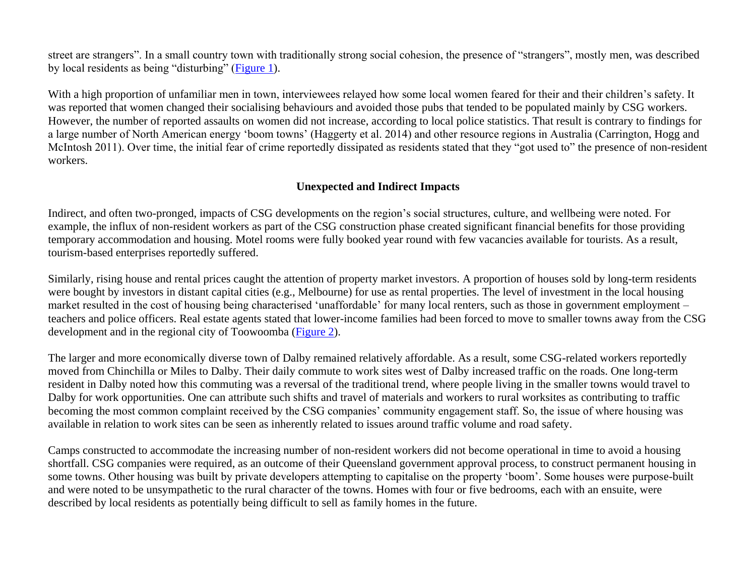street are strangers". In a small country town with traditionally strong social cohesion, the presence of "strangers", mostly men, was described by local residents as being "disturbing" [\(Figure 1\)](#page-7-0).

With a high proportion of unfamiliar men in town, interviewees relayed how some local women feared for their and their children's safety. It was reported that women changed their socialising behaviours and avoided those pubs that tended to be populated mainly by CSG workers. However, the number of reported assaults on women did not increase, according to local police statistics. That result is contrary to findings for a large number of North American energy 'boom towns' (Haggerty et al. 2014) and other resource regions in Australia (Carrington, Hogg and McIntosh 2011). Over time, the initial fear of crime reportedly dissipated as residents stated that they "got used to" the presence of non-resident workers.

## **Unexpected and Indirect Impacts**

Indirect, and often two-pronged, impacts of CSG developments on the region's social structures, culture, and wellbeing were noted. For example, the influx of non-resident workers as part of the CSG construction phase created significant financial benefits for those providing temporary accommodation and housing. Motel rooms were fully booked year round with few vacancies available for tourists. As a result, tourism-based enterprises reportedly suffered.

Similarly, rising house and rental prices caught the attention of property market investors. A proportion of houses sold by long-term residents were bought by investors in distant capital cities (e.g., Melbourne) for use as rental properties. The level of investment in the local housing market resulted in the cost of housing being characterised 'unaffordable' for many local renters, such as those in government employment – teachers and police officers. Real estate agents stated that lower-income families had been forced to move to smaller towns away from the CSG development and in the regional city of Toowoomba [\(Figure 2\)](#page-8-0).

The larger and more economically diverse town of Dalby remained relatively affordable. As a result, some CSG-related workers reportedly moved from Chinchilla or Miles to Dalby. Their daily commute to work sites west of Dalby increased traffic on the roads. One long-term resident in Dalby noted how this commuting was a reversal of the traditional trend, where people living in the smaller towns would travel to Dalby for work opportunities. One can attribute such shifts and travel of materials and workers to rural worksites as contributing to traffic becoming the most common complaint received by the CSG companies' community engagement staff. So, the issue of where housing was available in relation to work sites can be seen as inherently related to issues around traffic volume and road safety.

Camps constructed to accommodate the increasing number of non-resident workers did not become operational in time to avoid a housing shortfall. CSG companies were required, as an outcome of their Queensland government approval process, to construct permanent housing in some towns. Other housing was built by private developers attempting to capitalise on the property 'boom'. Some houses were purpose-built and were noted to be unsympathetic to the rural character of the towns. Homes with four or five bedrooms, each with an ensuite, were described by local residents as potentially being difficult to sell as family homes in the future.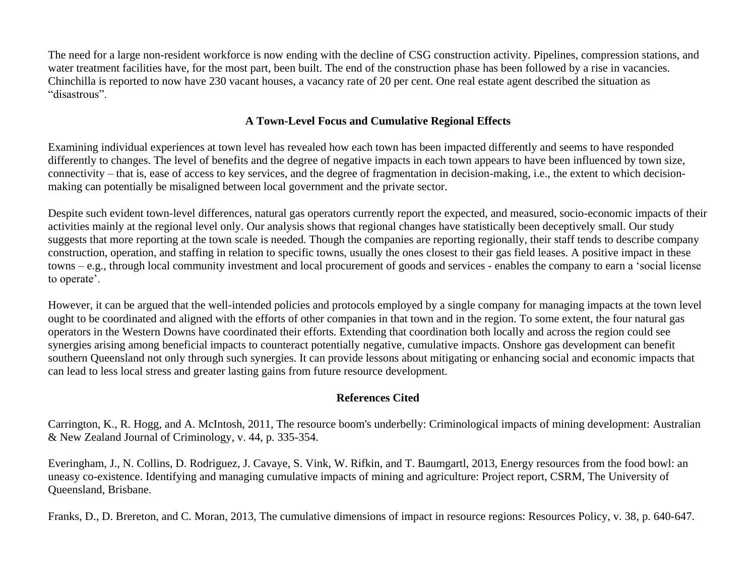The need for a large non-resident workforce is now ending with the decline of CSG construction activity. Pipelines, compression stations, and water treatment facilities have, for the most part, been built. The end of the construction phase has been followed by a rise in vacancies. Chinchilla is reported to now have 230 vacant houses, a vacancy rate of 20 per cent. One real estate agent described the situation as "disastrous".

# **A Town-Level Focus and Cumulative Regional Effects**

Examining individual experiences at town level has revealed how each town has been impacted differently and seems to have responded differently to changes. The level of benefits and the degree of negative impacts in each town appears to have been influenced by town size, connectivity – that is, ease of access to key services, and the degree of fragmentation in decision-making, i.e., the extent to which decisionmaking can potentially be misaligned between local government and the private sector.

Despite such evident town-level differences, natural gas operators currently report the expected, and measured, socio-economic impacts of their activities mainly at the regional level only. Our analysis shows that regional changes have statistically been deceptively small. Our study suggests that more reporting at the town scale is needed. Though the companies are reporting regionally, their staff tends to describe company construction, operation, and staffing in relation to specific towns, usually the ones closest to their gas field leases. A positive impact in these towns – e.g., through local community investment and local procurement of goods and services - enables the company to earn a 'social license to operate'.

However, it can be argued that the well-intended policies and protocols employed by a single company for managing impacts at the town level ought to be coordinated and aligned with the efforts of other companies in that town and in the region. To some extent, the four natural gas operators in the Western Downs have coordinated their efforts. Extending that coordination both locally and across the region could see synergies arising among beneficial impacts to counteract potentially negative, cumulative impacts. Onshore gas development can benefit southern Queensland not only through such synergies. It can provide lessons about mitigating or enhancing social and economic impacts that can lead to less local stress and greater lasting gains from future resource development.

### **References Cited**

Carrington, K., R. Hogg, and A. McIntosh, 2011, The resource boom's underbelly: Criminological impacts of mining development: Australian & New Zealand Journal of Criminology, v. 44, p. 335-354.

Everingham, J., N. Collins, D. Rodriguez, J. Cavaye, S. Vink, W. Rifkin, and T. Baumgartl, 2013, Energy resources from the food bowl: an uneasy co-existence. Identifying and managing cumulative impacts of mining and agriculture: Project report, CSRM, The University of Queensland, Brisbane.

Franks, D., D. Brereton, and C. Moran, 2013, The cumulative dimensions of impact in resource regions: Resources Policy, v. 38, p. 640-647.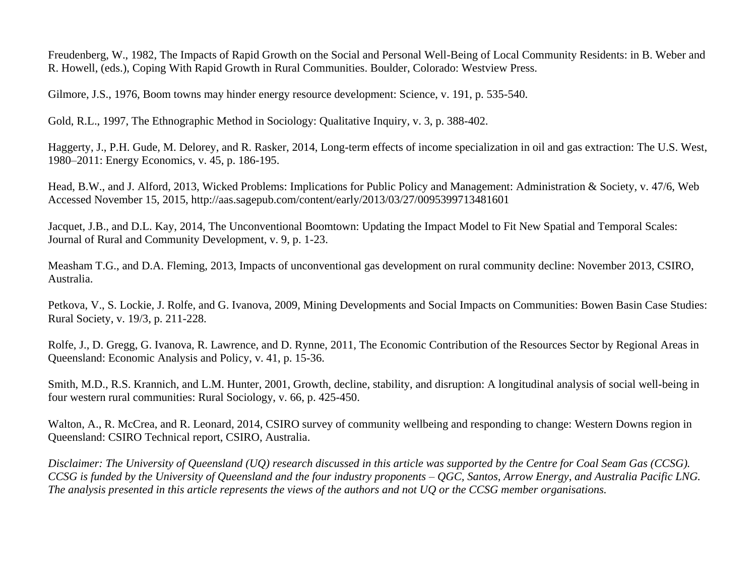Freudenberg, W., 1982, The Impacts of Rapid Growth on the Social and Personal Well-Being of Local Community Residents: in B. Weber and R. Howell, (eds.), Coping With Rapid Growth in Rural Communities. Boulder, Colorado: Westview Press.

Gilmore, J.S., 1976, Boom towns may hinder energy resource development: Science, v. 191, p. 535-540.

Gold, R.L., 1997, The Ethnographic Method in Sociology: Qualitative Inquiry, v. 3, p. 388-402.

Haggerty, J., P.H. Gude, M. Delorey, and R. Rasker, 2014, Long-term effects of income specialization in oil and gas extraction: The U.S. West, 1980–2011: Energy Economics, v. 45, p. 186-195.

Head, B.W., and J. Alford, 2013, Wicked Problems: Implications for Public Policy and Management: Administration & Society, v. 47/6, Web Accessed November 15, 2015, http://aas.sagepub.com/content/early/2013/03/27/0095399713481601

Jacquet, J.B., and D.L. Kay, 2014, The Unconventional Boomtown: Updating the Impact Model to Fit New Spatial and Temporal Scales: Journal of Rural and Community Development, v. 9, p. 1-23.

Measham T.G., and D.A. Fleming, 2013, Impacts of unconventional gas development on rural community decline: November 2013, CSIRO, Australia.

Petkova, V., S. Lockie, J. Rolfe, and G. Ivanova, 2009, Mining Developments and Social Impacts on Communities: Bowen Basin Case Studies: Rural Society, v. 19/3, p. 211-228.

Rolfe, J., D. Gregg, G. Ivanova, R. Lawrence, and D. Rynne, 2011, The Economic Contribution of the Resources Sector by Regional Areas in Queensland: Economic Analysis and Policy, v. 41, p. 15-36.

Smith, M.D., R.S. Krannich, and L.M. Hunter, 2001, Growth, decline, stability, and disruption: A longitudinal analysis of social well-being in four western rural communities: Rural Sociology, v. 66, p. 425-450.

Walton, A., R. McCrea, and R. Leonard, 2014, CSIRO survey of community wellbeing and responding to change: Western Downs region in Queensland: CSIRO Technical report, CSIRO, Australia.

*Disclaimer: The University of Queensland (UQ) research discussed in this article was supported by the Centre for Coal Seam Gas (CCSG). CCSG is funded by the University of Queensland and the four industry proponents – QGC, Santos, Arrow Energy, and Australia Pacific LNG. The analysis presented in this article represents the views of the authors and not UQ or the CCSG member organisations.*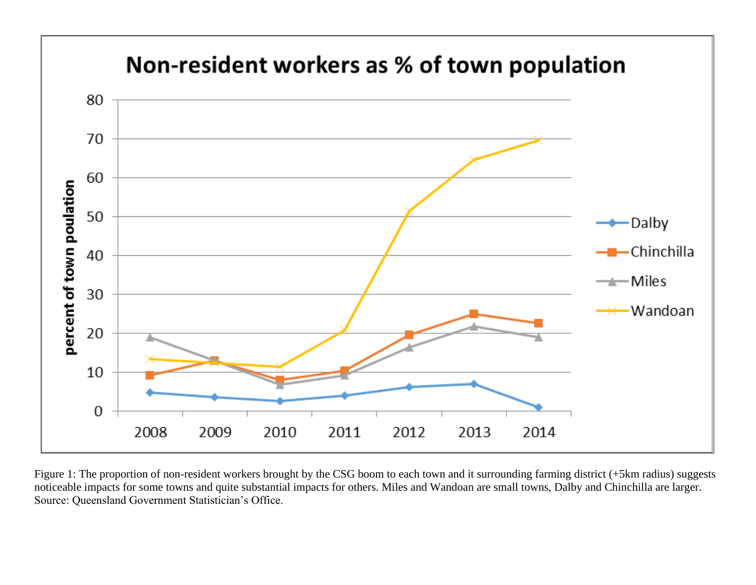<span id="page-7-0"></span>

Figure 1: The proportion of non-resident workers brought by the CSG boom to each town and it surrounding farming district (+5km radius) suggests noticeable impacts for some towns and quite substantial impacts for others. Miles and Wandoan are small towns, Dalby and Chinchilla are larger. Source: Queensland Government Statistician's Office.